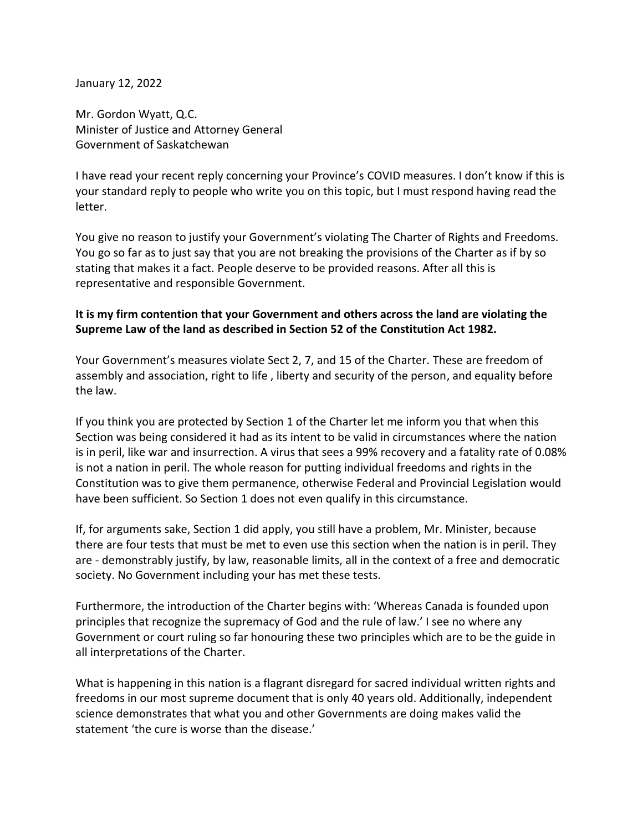January 12, 2022

Mr. Gordon Wyatt, Q.C. Minister of Justice and Attorney General Government of Saskatchewan

I have read your recent reply concerning your Province's COVID measures. I don't know if this is your standard reply to people who write you on this topic, but I must respond having read the letter.

You give no reason to justify your Government's violating The Charter of Rights and Freedoms. You go so far as to just say that you are not breaking the provisions of the Charter as if by so stating that makes it a fact. People deserve to be provided reasons. After all this is representative and responsible Government.

## **It is my firm contention that your Government and others across the land are violating the Supreme Law of the land as described in Section 52 of the Constitution Act 1982.**

Your Government's measures violate Sect 2, 7, and 15 of the Charter. These are freedom of assembly and association, right to life , liberty and security of the person, and equality before the law.

If you think you are protected by Section 1 of the Charter let me inform you that when this Section was being considered it had as its intent to be valid in circumstances where the nation is in peril, like war and insurrection. A virus that sees a 99% recovery and a fatality rate of 0.08% is not a nation in peril. The whole reason for putting individual freedoms and rights in the Constitution was to give them permanence, otherwise Federal and Provincial Legislation would have been sufficient. So Section 1 does not even qualify in this circumstance.

If, for arguments sake, Section 1 did apply, you still have a problem, Mr. Minister, because there are four tests that must be met to even use this section when the nation is in peril. They are - demonstrably justify, by law, reasonable limits, all in the context of a free and democratic society. No Government including your has met these tests.

Furthermore, the introduction of the Charter begins with: 'Whereas Canada is founded upon principles that recognize the supremacy of God and the rule of law.' I see no where any Government or court ruling so far honouring these two principles which are to be the guide in all interpretations of the Charter.

What is happening in this nation is a flagrant disregard for sacred individual written rights and freedoms in our most supreme document that is only 40 years old. Additionally, independent science demonstrates that what you and other Governments are doing makes valid the statement 'the cure is worse than the disease.'